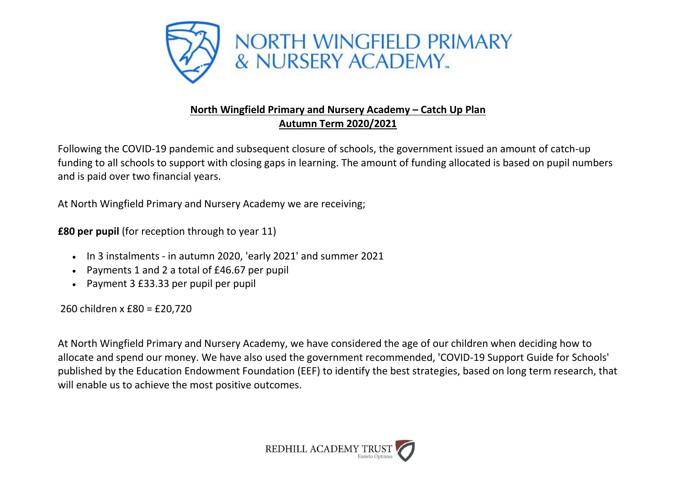

## **North Wingfield Primary and Nursery Academy – Catch Up Plan Autumn Term 2020/2021**

Following the COVID-19 pandemic and subsequent closure of schools, the government issued an amount of catch-up funding to all schools to support with closing gaps in learning. The amount of funding allocated is based on pupil numbers and is paid over two financial years.

At North Wingfield Primary and Nursery Academy we are receiving;

**£80 per pupil** (for reception through to year 11)

- In 3 instalments in autumn 2020, 'early 2021' and summer 2021
- Payments 1 and 2 a total of £46.67 per pupil
- Payment 3 £33.33 per pupil per pupil

260 children x £80 = £20,720

At North Wingfield Primary and Nursery Academy, we have considered the age of our children when deciding how to allocate and spend our money. We have also used the government recommended, 'COVID-19 Support Guide for Schools' published by the Education Endowment Foundation (EEF) to identify the best strategies, based on long term research, that will enable us to achieve the most positive outcomes.

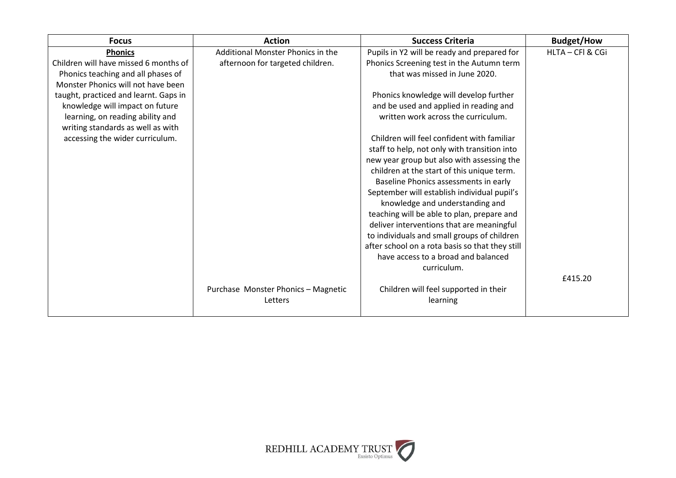| <b>Focus</b>                          | <b>Action</b>                       | <b>Success Criteria</b>                         | <b>Budget/How</b> |
|---------------------------------------|-------------------------------------|-------------------------------------------------|-------------------|
| <b>Phonics</b>                        | Additional Monster Phonics in the   | Pupils in Y2 will be ready and prepared for     | HLTA - CFI & CGi  |
| Children will have missed 6 months of | afternoon for targeted children.    | Phonics Screening test in the Autumn term       |                   |
| Phonics teaching and all phases of    |                                     | that was missed in June 2020.                   |                   |
| Monster Phonics will not have been    |                                     |                                                 |                   |
| taught, practiced and learnt. Gaps in |                                     | Phonics knowledge will develop further          |                   |
| knowledge will impact on future       |                                     | and be used and applied in reading and          |                   |
| learning, on reading ability and      |                                     | written work across the curriculum.             |                   |
| writing standards as well as with     |                                     |                                                 |                   |
| accessing the wider curriculum.       |                                     | Children will feel confident with familiar      |                   |
|                                       |                                     | staff to help, not only with transition into    |                   |
|                                       |                                     | new year group but also with assessing the      |                   |
|                                       |                                     | children at the start of this unique term.      |                   |
|                                       |                                     | Baseline Phonics assessments in early           |                   |
|                                       |                                     | September will establish individual pupil's     |                   |
|                                       |                                     | knowledge and understanding and                 |                   |
|                                       |                                     | teaching will be able to plan, prepare and      |                   |
|                                       |                                     | deliver interventions that are meaningful       |                   |
|                                       |                                     | to individuals and small groups of children     |                   |
|                                       |                                     | after school on a rota basis so that they still |                   |
|                                       |                                     | have access to a broad and balanced             |                   |
|                                       |                                     | curriculum.                                     |                   |
|                                       |                                     |                                                 | £415.20           |
|                                       | Purchase Monster Phonics - Magnetic | Children will feel supported in their           |                   |
|                                       | Letters                             | learning                                        |                   |
|                                       |                                     |                                                 |                   |

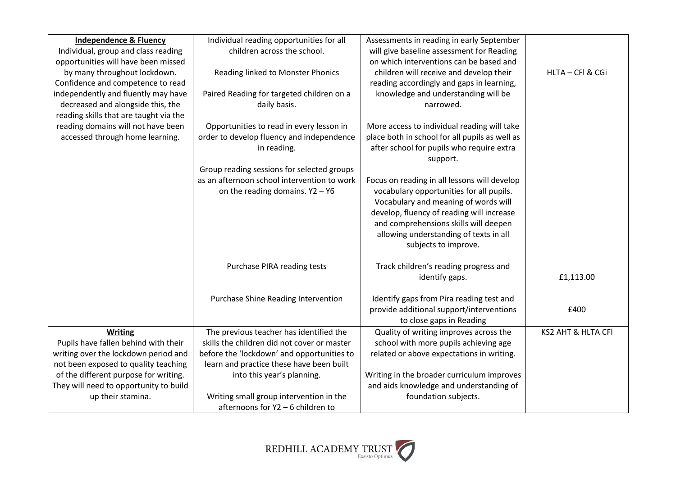| <b>Independence &amp; Fluency</b>      | Individual reading opportunities for all    | Assessments in reading in early September      |                    |
|----------------------------------------|---------------------------------------------|------------------------------------------------|--------------------|
| Individual, group and class reading    | children across the school.                 | will give baseline assessment for Reading      |                    |
| opportunities will have been missed    |                                             | on which interventions can be based and        |                    |
| by many throughout lockdown.           | Reading linked to Monster Phonics           | children will receive and develop their        | HLTA - CFI & CGi   |
| Confidence and competence to read      |                                             | reading accordingly and gaps in learning,      |                    |
| independently and fluently may have    | Paired Reading for targeted children on a   | knowledge and understanding will be            |                    |
| decreased and alongside this, the      | daily basis.                                | narrowed.                                      |                    |
| reading skills that are taught via the |                                             |                                                |                    |
| reading domains will not have been     | Opportunities to read in every lesson in    | More access to individual reading will take    |                    |
| accessed through home learning.        | order to develop fluency and independence   | place both in school for all pupils as well as |                    |
|                                        | in reading.                                 | after school for pupils who require extra      |                    |
|                                        |                                             | support.                                       |                    |
|                                        | Group reading sessions for selected groups  |                                                |                    |
|                                        | as an afternoon school intervention to work | Focus on reading in all lessons will develop   |                    |
|                                        | on the reading domains. $Y2 - Y6$           | vocabulary opportunities for all pupils.       |                    |
|                                        |                                             | Vocabulary and meaning of words will           |                    |
|                                        |                                             | develop, fluency of reading will increase      |                    |
|                                        |                                             | and comprehensions skills will deepen          |                    |
|                                        |                                             | allowing understanding of texts in all         |                    |
|                                        |                                             | subjects to improve.                           |                    |
|                                        |                                             |                                                |                    |
|                                        | Purchase PIRA reading tests                 | Track children's reading progress and          |                    |
|                                        |                                             | identify gaps.                                 | £1,113.00          |
|                                        |                                             |                                                |                    |
|                                        | Purchase Shine Reading Intervention         | Identify gaps from Pira reading test and       |                    |
|                                        |                                             | provide additional support/interventions       | £400               |
|                                        |                                             | to close gaps in Reading                       |                    |
| Writing                                | The previous teacher has identified the     | Quality of writing improves across the         | KS2 AHT & HLTA CFI |
| Pupils have fallen behind with their   | skills the children did not cover or master | school with more pupils achieving age          |                    |
| writing over the lockdown period and   | before the 'lockdown' and opportunities to  | related or above expectations in writing.      |                    |
| not been exposed to quality teaching   | learn and practice these have been built    |                                                |                    |
| of the different purpose for writing.  | into this year's planning.                  | Writing in the broader curriculum improves     |                    |
| They will need to opportunity to build |                                             | and aids knowledge and understanding of        |                    |
| up their stamina.                      | Writing small group intervention in the     | foundation subjects.                           |                    |
|                                        | afternoons for Y2 - 6 children to           |                                                |                    |

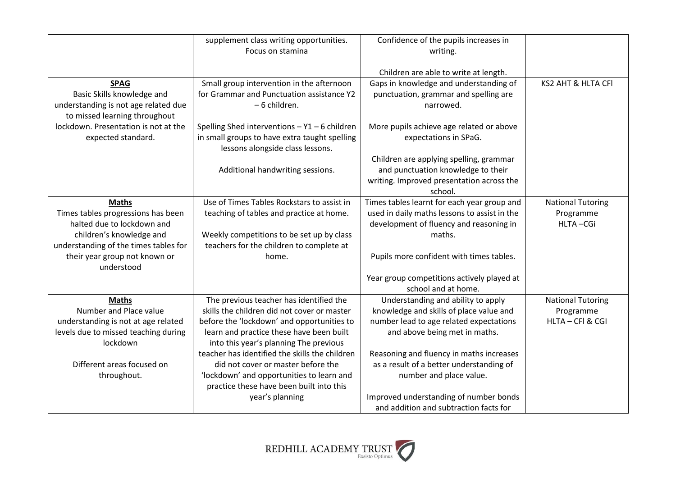|                                                                                                                                                                                                      | supplement class writing opportunities.<br>Focus on stamina                                                                                                                                                                                                                  | Confidence of the pupils increases in<br>writing.                                                                                                                                                     |                                                           |
|------------------------------------------------------------------------------------------------------------------------------------------------------------------------------------------------------|------------------------------------------------------------------------------------------------------------------------------------------------------------------------------------------------------------------------------------------------------------------------------|-------------------------------------------------------------------------------------------------------------------------------------------------------------------------------------------------------|-----------------------------------------------------------|
|                                                                                                                                                                                                      |                                                                                                                                                                                                                                                                              | Children are able to write at length.                                                                                                                                                                 |                                                           |
| <b>SPAG</b><br>Basic Skills knowledge and<br>understanding is not age related due<br>to missed learning throughout                                                                                   | Small group intervention in the afternoon<br>for Grammar and Punctuation assistance Y2<br>- 6 children.                                                                                                                                                                      | Gaps in knowledge and understanding of<br>punctuation, grammar and spelling are<br>narrowed.                                                                                                          | KS2 AHT & HLTA CFI                                        |
| lockdown. Presentation is not at the<br>expected standard.                                                                                                                                           | Spelling Shed interventions $- Y1 - 6$ children<br>in small groups to have extra taught spelling<br>lessons alongside class lessons.                                                                                                                                         | More pupils achieve age related or above<br>expectations in SPaG.                                                                                                                                     |                                                           |
|                                                                                                                                                                                                      | Additional handwriting sessions.                                                                                                                                                                                                                                             | Children are applying spelling, grammar<br>and punctuation knowledge to their<br>writing. Improved presentation across the<br>school.                                                                 |                                                           |
| <b>Maths</b><br>Times tables progressions has been<br>halted due to lockdown and<br>children's knowledge and<br>understanding of the times tables for<br>their year group not known or<br>understood | Use of Times Tables Rockstars to assist in<br>teaching of tables and practice at home.<br>Weekly competitions to be set up by class<br>teachers for the children to complete at<br>home.                                                                                     | Times tables learnt for each year group and<br>used in daily maths lessons to assist in the<br>development of fluency and reasoning in<br>maths.<br>Pupils more confident with times tables.          | <b>National Tutoring</b><br>Programme<br>HLTA-CGi         |
|                                                                                                                                                                                                      |                                                                                                                                                                                                                                                                              | Year group competitions actively played at<br>school and at home.                                                                                                                                     |                                                           |
| <b>Maths</b><br>Number and Place value<br>understanding is not at age related<br>levels due to missed teaching during<br>lockdown                                                                    | The previous teacher has identified the<br>skills the children did not cover or master<br>before the 'lockdown' and opportunities to<br>learn and practice these have been built<br>into this year's planning The previous<br>teacher has identified the skills the children | Understanding and ability to apply<br>knowledge and skills of place value and<br>number lead to age related expectations<br>and above being met in maths.<br>Reasoning and fluency in maths increases | <b>National Tutoring</b><br>Programme<br>HLTA - CFI & CGI |
| Different areas focused on<br>throughout.                                                                                                                                                            | did not cover or master before the<br>'lockdown' and opportunities to learn and<br>practice these have been built into this<br>year's planning                                                                                                                               | as a result of a better understanding of<br>number and place value.<br>Improved understanding of number bonds<br>and addition and subtraction facts for                                               |                                                           |

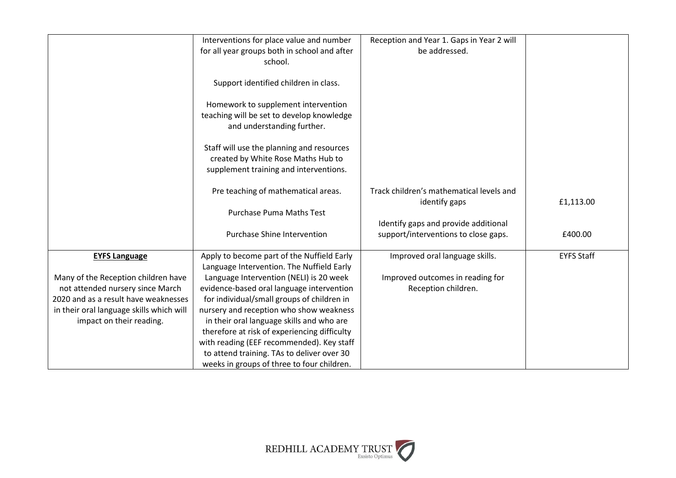|                                          | Interventions for place value and number                                                | Reception and Year 1. Gaps in Year 2 will<br>be addressed. |                   |
|------------------------------------------|-----------------------------------------------------------------------------------------|------------------------------------------------------------|-------------------|
|                                          | for all year groups both in school and after<br>school.                                 |                                                            |                   |
|                                          |                                                                                         |                                                            |                   |
|                                          | Support identified children in class.                                                   |                                                            |                   |
|                                          | Homework to supplement intervention                                                     |                                                            |                   |
|                                          | teaching will be set to develop knowledge                                               |                                                            |                   |
|                                          | and understanding further.                                                              |                                                            |                   |
|                                          | Staff will use the planning and resources                                               |                                                            |                   |
|                                          | created by White Rose Maths Hub to                                                      |                                                            |                   |
|                                          | supplement training and interventions.                                                  |                                                            |                   |
|                                          |                                                                                         |                                                            |                   |
|                                          | Pre teaching of mathematical areas.                                                     | Track children's mathematical levels and                   |                   |
|                                          | <b>Purchase Puma Maths Test</b>                                                         | identify gaps                                              | £1,113.00         |
|                                          |                                                                                         | Identify gaps and provide additional                       |                   |
|                                          | <b>Purchase Shine Intervention</b>                                                      | support/interventions to close gaps.                       | £400.00           |
|                                          |                                                                                         |                                                            |                   |
| <b>EYFS Language</b>                     | Apply to become part of the Nuffield Early<br>Language Intervention. The Nuffield Early | Improved oral language skills.                             | <b>EYFS Staff</b> |
| Many of the Reception children have      | Language Intervention (NELI) is 20 week                                                 | Improved outcomes in reading for                           |                   |
| not attended nursery since March         | evidence-based oral language intervention                                               | Reception children.                                        |                   |
| 2020 and as a result have weaknesses     | for individual/small groups of children in                                              |                                                            |                   |
| in their oral language skills which will | nursery and reception who show weakness                                                 |                                                            |                   |
| impact on their reading.                 | in their oral language skills and who are                                               |                                                            |                   |
|                                          | therefore at risk of experiencing difficulty                                            |                                                            |                   |
|                                          | with reading (EEF recommended). Key staff                                               |                                                            |                   |
|                                          | to attend training. TAs to deliver over 30                                              |                                                            |                   |
|                                          | weeks in groups of three to four children.                                              |                                                            |                   |